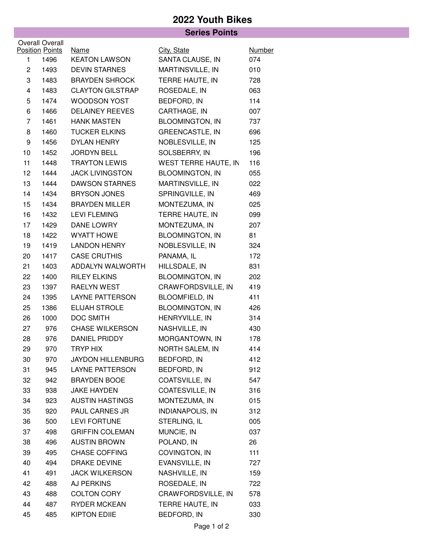## **2022 Youth Bikes**

|                 |                        | <b>Series Points</b>     |                         |               |  |
|-----------------|------------------------|--------------------------|-------------------------|---------------|--|
|                 | <b>Overall Overall</b> |                          |                         |               |  |
|                 | <b>Position Points</b> | <b>Name</b>              | City, State             | <b>Number</b> |  |
| 1               | 1496                   | <b>KEATON LAWSON</b>     | SANTA CLAUSE, IN        | 074           |  |
| $\overline{c}$  | 1493                   | <b>DEVIN STARNES</b>     | MARTINSVILLE, IN        | 010           |  |
| 3               | 1483                   | <b>BRAYDEN SHROCK</b>    | TERRE HAUTE, IN         | 728           |  |
| 4               | 1483                   | <b>CLAYTON GILSTRAP</b>  | ROSEDALE, IN            | 063           |  |
| 5               | 1474                   | <b>WOODSON YOST</b>      | BEDFORD, IN             | 114           |  |
| 6               | 1466                   | <b>DELAINEY REEVES</b>   | CARTHAGE, IN            | 007           |  |
| $\overline{7}$  | 1461                   | <b>HANK MASTEN</b>       | <b>BLOOMINGTON, IN</b>  | 737           |  |
| 8               | 1460                   | <b>TUCKER ELKINS</b>     | <b>GREENCASTLE, IN</b>  | 696           |  |
| 9               | 1456                   | DYLAN HENRY              | NOBLESVILLE, IN         | 125           |  |
| 10              | 1452                   | <b>JORDYN BELL</b>       | SOLSBERRY, IN           | 196           |  |
| 11              | 1448                   | <b>TRAYTON LEWIS</b>     | WEST TERRE HAUTE, IN    | 116           |  |
| 12 <sub>2</sub> | 1444                   | <b>JACK LIVINGSTON</b>   | <b>BLOOMINGTON, IN</b>  | 055           |  |
| 13              | 1444                   | <b>DAWSON STARNES</b>    | MARTINSVILLE, IN        | 022           |  |
| 14              | 1434                   | <b>BRYSON JONES</b>      | SPRINGVILLE, IN         | 469           |  |
| 15              | 1434                   | <b>BRAYDEN MILLER</b>    | MONTEZUMA, IN           | 025           |  |
| 16              | 1432                   | <b>LEVI FLEMING</b>      | TERRE HAUTE, IN         | 099           |  |
| 17              | 1429                   | DANE LOWRY               | MONTEZUMA, IN           | 207           |  |
| 18              | 1422                   | <b>WYATT HOWE</b>        | <b>BLOOMINGTON, IN</b>  | 81            |  |
| 19              | 1419                   | <b>LANDON HENRY</b>      | NOBLESVILLE, IN         | 324           |  |
| 20              | 1417                   | <b>CASE CRUTHIS</b>      | PANAMA, IL              | 172           |  |
| 21              | 1403                   | ADDALYN WALWORTH         | HILLSDALE, IN           | 831           |  |
| 22              | 1400                   | <b>RILEY ELKINS</b>      | <b>BLOOMINGTON, IN</b>  | 202           |  |
| 23              | 1397                   | RAELYN WEST              | CRAWFORDSVILLE, IN      | 419           |  |
| 24              | 1395                   | <b>LAYNE PATTERSON</b>   | <b>BLOOMFIELD, IN</b>   | 411           |  |
| 25              | 1386                   | ELIJAH STROLE            | <b>BLOOMINGTON, IN</b>  | 426           |  |
| 26              | 1000                   | <b>DOC SMITH</b>         | HENRYVILLE, IN          | 314           |  |
| 27              | 976                    | <b>CHASE WILKERSON</b>   | NASHVILLE, IN           | 430           |  |
| 28              | 976                    | DANIEL PRIDDY            | MORGANTOWN, IN          | 178           |  |
| 29              | 970                    | <b>TRYP HIX</b>          | NORTH SALEM, IN         | 414           |  |
| 30              | 970                    | <b>JAYDON HILLENBURG</b> | BEDFORD, IN             | 412           |  |
| 31              | 945                    | <b>LAYNE PATTERSON</b>   | BEDFORD, IN             | 912           |  |
| 32              | 942                    | <b>BRAYDEN BOOE</b>      | COATSVILLE, IN          | 547           |  |
| 33              | 938                    | <b>JAKE HAYDEN</b>       | COATESVILLE, IN         | 316           |  |
| 34              | 923                    | <b>AUSTIN HASTINGS</b>   | MONTEZUMA, IN           | 015           |  |
| 35              | 920                    | PAUL CARNES JR           | <b>INDIANAPOLIS, IN</b> | 312           |  |
| 36              | 500                    | <b>LEVI FORTUNE</b>      | STERLING, IL            | 005           |  |
| 37              | 498                    | <b>GRIFFIN COLEMAN</b>   | MUNCIE, IN              | 037           |  |
| 38              | 496                    | <b>AUSTIN BROWN</b>      | POLAND, IN              | 26            |  |
| 39              | 495                    | <b>CHASE COFFING</b>     | COVINGTON, IN           | 111           |  |
| 40              | 494                    | DRAKE DEVINE             | EVANSVILLE, IN          | 727           |  |
| 41              | 491                    | <b>JACK WILKERSON</b>    | NASHVILLE, IN           | 159           |  |
| 42              | 488                    | <b>AJ PERKINS</b>        | ROSEDALE, IN            | 722           |  |
| 43              | 488                    | <b>COLTON CORY</b>       | CRAWFORDSVILLE, IN      | 578           |  |
| 44              | 487                    | <b>RYDER MCKEAN</b>      | TERRE HAUTE, IN         | 033           |  |
| 45              | 485                    | <b>KIPTON EDIIE</b>      | BEDFORD, IN             | 330           |  |